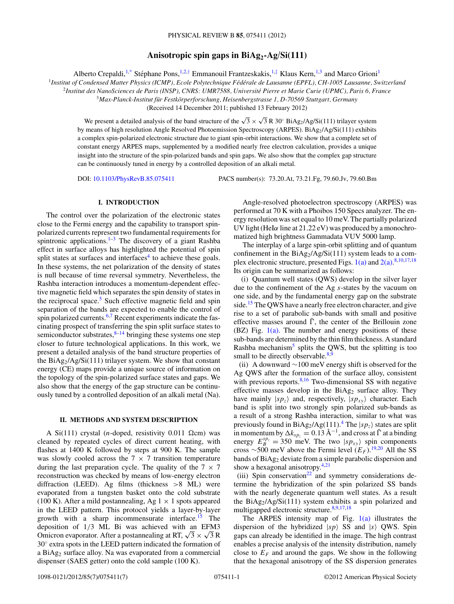# **Anisotropic spin gaps in BiAg2-Ag/Si(111)**

Alberto Crepaldi,<sup>1[,\\*](#page-5-0)</sup> Stéphane Pons,<sup>1,2,[†](#page-5-0)</sup> Emmanouil Frantzeskakis,<sup>1,[‡](#page-5-0)</sup> Klaus Kern,<sup>1,3</sup> and Marco Grioni<sup>1</sup>

<sup>1</sup>Institut of Condensed Matter Physics (ICMP), Ecole Polytechnique Fédérale de Lausanne (EPFL), CH-1005 Lausanne, Switzerland

<sup>2</sup>*Institut des NanoSciences de Paris (INSP), CNRS: UMR7588, Universite Pierre et Marie Curie (UPMC), Paris 6, France ´*

<sup>3</sup>*Max-Planck-Institut fur Festk ¨ orperforschung, Heisenbergstrasse 1, D-70569 Stuttgart, Germany ¨*

(Received 14 December 2011; published 13 February 2012)

We present a detailed analysis of the band structure of the  $\sqrt{3} \times \sqrt{3} R 30° BiAg_2/Ag/Si(111)$  trilayer system by means of high resolution Angle Resolved Photoemission Spectroscopy (ARPES). BiAg2/Ag/Si(111) exhibits a complex spin-polarized electronic structure due to giant spin-orbit interactions. We show that a complete set of constant energy ARPES maps, supplemented by a modified nearly free electron calculation, provides a unique insight into the structure of the spin-polarized bands and spin gaps. We also show that the complex gap structure can be continuously tuned in energy by a controlled deposition of an alkali metal.

DOI: [10.1103/PhysRevB.85.075411](http://dx.doi.org/10.1103/PhysRevB.85.075411) PACS number(s): 73*.*20*.*At, 73*.*21*.*Fg, 79*.*60*.*Jv, 79*.*60*.*Bm

# **I. INTRODUCTION**

The control over the polarization of the electronic states close to the Fermi energy and the capability to transport spinpolarized currents represent two fundamental requirements for spintronic applications.<sup>1-3</sup> The discovery of a giant Rashba effect in surface alloys has highlighted the potential of spin split states at surfaces and interfaces $4$  to achieve these goals. In these systems, the net polarization of the density of states is null because of time reversal symmetry. Nevertheless, the Rashba interaction introduces a momentum-dependent effective magnetic field which separates the spin density of states in the reciprocal space.<sup>5</sup> Such effective magnetic field and spin separation of the bands are expected to enable the control of spin polarized currents.<sup>[6,7](#page-5-0)</sup> Recent experiments indicate the fascinating prospect of transferring the spin split surface states to semiconductor substrates, $8-14$  bringing these systems one step closer to future technological applications. In this work, we present a detailed analysis of the band structure properties of the BiAg2/Ag/Si(111) trilayer system. We show that constant energy (CE) maps provide a unique source of information on the topology of the spin-polarized surface states and gaps. We also show that the energy of the gap structure can be continuously tuned by a controlled deposition of an alkali metal (Na).

### **II. METHODS AND SYSTEM DESCRIPTION**

A Si(111) crystal (*n*-doped, resistivity 0.011  $\Omega$ cm) was cleaned by repeated cycles of direct current heating, with flashes at 1400 K followed by steps at 900 K. The sample was slowly cooled across the  $7 \times 7$  transition temperature during the last preparation cycle. The quality of the  $7 \times 7$ reconstruction was checked by means of low-energy electron diffraction (LEED). Ag films (thickness *>*8 ML) were evaporated from a tungsten basket onto the cold substrate (100 K). After a mild postannealing, Ag  $1 \times 1$  spots appeared in the LEED pattern. This protocol yields a layer-by-layer growth with a sharp incommensurate interface[.15](#page-5-0) The deposition of 1*/*3 ML Bi was achieved with an EFM3 Omicron evaporator. After a postannealing at RT,  $\sqrt{3} \times \sqrt{3}$  R 30◦ extra spots in the LEED pattern indicated the formation of a BiAg2 surface alloy. Na was evaporated from a commercial dispenser (SAES getter) onto the cold sample (100 K).

Angle-resolved photoelectron spectroscopy (ARPES) was performed at 70 K with a Phoibos 150 Specs analyzer. The energy resolution was set equal to 10 meV. The partially polarized UV light (HeI*α* line at 21*.*22 eV) was produced by a monochromatized high brightness Gammadata VUV 5000 lamp.

The interplay of a large spin-orbit splitting and of quantum confinement in the  $BiAg<sub>2</sub>/Ag/Si(111)$  system leads to a complex electronic structure, presented Figs.  $1(a)$  and  $2(a)$ .<sup>[8,10,17,18](#page-5-0)</sup> Its origin can be summarized as follows:

(i) Quantum well states (QWS) develop in the silver layer due to the confinement of the Ag *s*-states by the vacuum on one side, and by the fundamental energy gap on the substrate side.<sup>[15](#page-5-0)</sup> The QWS have a nearly free electron character, and give rise to a set of parabolic sub-bands with small and positive effective masses around  $\overline{\Gamma}$ , the center of the Brillouin zone  $(BZ)$  Fig.  $1(a)$ . The number and energy positions of these sub-bands are determined by the thin film thickness. A standard Rashba mechanism $<sup>5</sup>$  splits the QWS, but the splitting is too</sup> small to be directly observable. $8,9$ 

(ii) A downward ∼100 meV energy shift is observed for the Ag QWS after the formation of the surface alloy, consistent with previous reports. $8,16$  Two-dimensional SS with negative effective masses develop in the  $BiAg<sub>2</sub>$  surface alloy. They have mainly  $|sp_z\rangle$  and, respectively,  $|sp_{xy}\rangle$  character. Each band is split into two strongly spin polarized sub-bands as a result of a strong Rashba interaction, similar to what was previously found in  $BiAg_2/Ag(111).$ <sup>[4](#page-5-0)</sup> The  $|sp_7\rangle$  states are split in momentum by  $\Delta k_{sp_z} = 0.13 \text{ Å}^{-1}$ , and cross at  $\bar{\Gamma}$  at a binding energy  $E_B^{sp_z} = 350$  meV. The two  $|sp_{xy}\rangle$  spin components cross  $\sim$ 500 meV above the Fermi level  $(E_F)$ .<sup>[19,20](#page-5-0)</sup> All the SS bands of BiAg<sub>2</sub> deviate from a simple parabolic dispersion and show a hexagonal anisotropy.<sup>[4,21](#page-5-0)</sup>

(iii) Spin conservation<sup>22</sup> and symmetry considerations determine the hybridization of the spin polarized SS bands with the nearly degenerate quantum well states. As a result the  $BiAg<sub>2</sub>/Ag/Si(111)$  system exhibits a spin polarized and multigapped electronic structure.<sup>8,9,17,18</sup>

The ARPES intensity map of Fig.  $1(a)$  illustrates the dispersion of the hybridized  $|sp\rangle$  SS and  $|s\rangle$  QWS. Spin gaps can already be identified in the image. The high contrast enables a precise analysis of the intensity distribution, namely close to  $E_F$  and around the gaps. We show in the following that the hexagonal anisotropy of the SS dispersion generates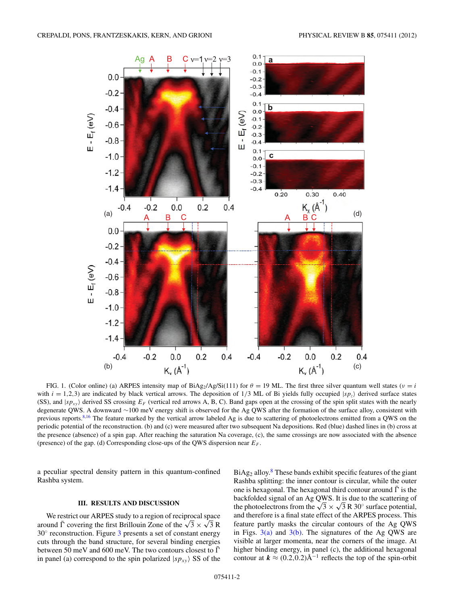<span id="page-1-0"></span>

FIG. 1. (Color online) (a) ARPES intensity map of BiAg<sub>2</sub>/Ag/Si(111) for  $\theta = 19$  ML. The first three silver quantum well states ( $\nu = i$ with  $i = 1,2,3$ ) are indicated by black vertical arrows. The deposition of  $1/3$  ML of Bi yields fully occupied  $|sp_z\rangle$  derived surface states (SS), and  $|sp_{xy}\rangle$  derived SS crossing  $E_F$  (vertical red arrows A, B, C). Band gaps open at the crossing of the spin split states with the nearly degenerate QWS. A downward ∼100 meV energy shift is observed for the Ag QWS after the formation of the surface alloy, consistent with previous reports.<sup>[8,16](#page-5-0)</sup> The feature marked by the vertical arrow labeled Ag is due to scattering of photoelectrons emitted from a QWS on the periodic potential of the reconstruction. (b) and (c) were measured after two subsequent Na depositions. Red (blue) dashed lines in (b) cross at the presence (absence) of a spin gap. After reaching the saturation Na coverage, (c), the same crossings are now associated with the absence (presence) of the gap. (d) Corresponding close-ups of the QWS dispersion near *EF* .

a peculiar spectral density pattern in this quantum-confined Rashba system.

### **III. RESULTS AND DISCUSSION**

We restrict our ARPES study to a region of reciprocal space around  $\overline{\Gamma}$  covering the first Brillouin Zone of the  $\sqrt{3} \times \sqrt{3} R$  $30^\circ$  $30^\circ$  reconstruction. Figure 3 presents a set of constant energy cuts through the band structure, for several binding energies between 50 meV and 600 meV. The two contours closest to  $\overline{\Gamma}$ in panel (a) correspond to the spin polarized  $|sp_{xy}\rangle$  SS of the  $BiAg<sub>2</sub>$  alloy.<sup>[8](#page-5-0)</sup> These bands exhibit specific features of the giant Rashba splitting: the inner contour is circular, while the outer one is hexagonal. The hexagonal third contour around  $\bar{\Gamma}$  is the backfolded signal of an Ag QWS. It is due to the scattering of the photoelectrons from the  $\sqrt{3} \times \sqrt{3} R 30^\circ$  surface potential, and therefore is a final state effect of the ARPES process. This feature partly masks the circular contours of the Ag QWS in Figs.  $3(a)$  and  $3(b)$ . The signatures of the Ag QWS are visible at larger momenta, near the corners of the image. At higher binding energy, in panel (c), the additional hexagonal contour at  $k \approx (0.2, 0.2)$ Å<sup>-1</sup> reflects the top of the spin-orbit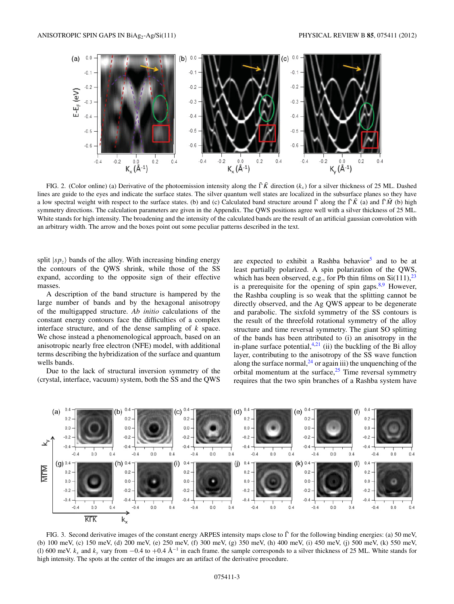<span id="page-2-0"></span>

FIG. 2. (Color online) (a) Derivative of the photoemission intensity along the  $\overline{\Gamma}K$  direction ( $k_x$ ) for a silver thickness of 25 ML. Dashed lines are guide to the eyes and indicate the surface states. The silver quantum well states are localized in the subsurface planes so they have a low spectral weight with respect to the surface states. (b) and (c) Calculated band structure around  $\bar{\Gamma}$  along the  $\bar{\Gamma}\bar{K}$  (a) and  $\bar{\Gamma}\bar{M}$  (b) high symmetry directions. The calculation parameters are given in the Appendix. The QWS positions agree well with a silver thickness of 25 ML. White stands for high intensity. The broadening and the intensity of the calculated bands are the result of an artificial gaussian convolution with an arbitrary width. The arrow and the boxes point out some peculiar patterns described in the text.

split  $|sp_7\rangle$  bands of the alloy. With increasing binding energy the contours of the QWS shrink, while those of the SS expand, according to the opposite sign of their effective masses.

A description of the band structure is hampered by the large number of bands and by the hexagonal anisotropy of the multigapped structure. *Ab initio* calculations of the constant energy contours face the difficulties of a complex interface structure, and of the dense sampling of *k* space. We chose instead a phenomenological approach, based on an anisotropic nearly free electron (NFE) model, with additional terms describing the hybridization of the surface and quantum wells bands.

Due to the lack of structural inversion symmetry of the (crystal, interface, vacuum) system, both the SS and the QWS are expected to exhibit a Rashba behavior<sup>5</sup> and to be at least partially polarized. A spin polarization of the QWS, which has been observed, e.g., for Pb thin films on  $Si(111),^{23}$  $Si(111),^{23}$  $Si(111),^{23}$ is a prerequisite for the opening of spin gaps. $8.9$  However, the Rashba coupling is so weak that the splitting cannot be directly observed, and the Ag QWS appear to be degenerate and parabolic. The sixfold symmetry of the SS contours is the result of the threefold rotational symmetry of the alloy structure and time reversal symmetry. The giant SO splitting of the bands has been attributed to (i) an anisotropy in the in-plane surface potential, $4,21$  (ii) the buckling of the Bi alloy layer, contributing to the anisotropy of the SS wave function along the surface normal,  $^{24}$  $^{24}$  $^{24}$  or again iii) the unquenching of the orbital momentum at the surface, $25$  Time reversal symmetry requires that the two spin branches of a Rashba system have



FIG. 3. Second derivative images of the constant energy ARPES intensity maps close to  $\bar{\Gamma}$  for the following binding energies: (a) 50 meV, (b) 100 meV, (c) 150 meV, (d) 200 meV, (e) 250 meV, (f) 300 meV, (g) 350 meV, (h) 400 meV, (i) 450 meV, (j) 500 meV, (k) 550 meV, (l) 600 meV.  $k_x$  and  $k_y$  vary from −0.4 to +0.4  $\AA^{-1}$  in each frame. the sample corresponds to a silver thickness of 25 ML. White stands for high intensity. The spots at the center of the images are an artifact of the derivative procedure.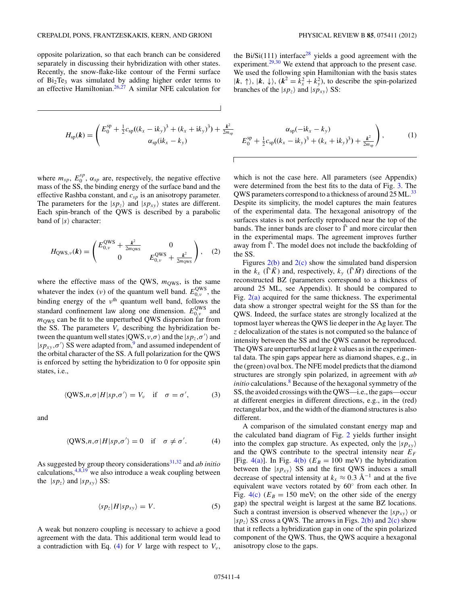opposite polarization, so that each branch can be considered separately in discussing their hybridization with other states. Recently, the snow-flake-like contour of the Fermi surface of  $Bi<sub>2</sub>Te<sub>3</sub>$  was simulated by adding higher order terms to an effective Hamiltonian. $26,27$  A similar NFE calculation for

$$
H_{\rm sp}(\mathbf{k}) = \begin{pmatrix} E_0^{\rm sp} + \frac{1}{2}c_{\rm sp}((k_x - i k_y)^3 + (k_x + i k_y)^3) + \frac{k^2}{2m_{\rm sp}} \\ \alpha_{\rm sp}(i k_x - k_y) \end{pmatrix}
$$

where  $m_{sp}$ ,  $E_0^{sp}$ ,  $\alpha_{sp}$  are, respectively, the negative effective mass of the SS, the binding energy of the surface band and the effective Rashba constant, and *csp* is an anisotropy parameter. The parameters for the  $|sp_z\rangle$  and  $|sp_{xy}\rangle$  states are different. Each spin-branch of the QWS is described by a parabolic band of  $|s\rangle$  character:

$$
H_{\text{QWS},\nu}(\boldsymbol{k}) = \begin{pmatrix} E_{0,\nu}^{\text{QWS}} + \frac{k^2}{2m_{\text{QWS}}} & 0\\ 0 & E_{0,\nu}^{\text{QWS}} + \frac{k^2}{2m_{\text{QWS}}} \end{pmatrix}, \quad (2)
$$

where the effective mass of the QWS,  $m<sub>QWS</sub>$ , is the same whatever the index (*v*) of the quantum well band.  $E_{0,\nu}^{\text{QWS}}$ , the binding energy of the  $v<sup>th</sup>$  quantum well band, follows the standard confinement law along one dimension.  $E_{0,\nu}^{\text{QWS}}$  and  $m<sub>OWS</sub>$  can be fit to the unperturbed QWS dispersion far from the SS. The parameters  $V_{\nu}$  describing the hybridization between the quantum well states  $|QWS, v, \sigma\rangle$  and the  $|sp_z, \sigma'\rangle$  and  $|sp_{xy}, \sigma' \rangle$  SS were adapted from,<sup>[9](#page-5-0)</sup> and assumed independent of the orbital character of the SS. A full polarization for the QWS is enforced by setting the hybridization to 0 for opposite spin states, i.e.,

$$
\langle QWS, n, \sigma | H | sp, \sigma' \rangle = V_v \quad \text{if} \quad \sigma = \sigma', \tag{3}
$$

and

$$
\langle QWS, n, \sigma | H | sp, \sigma' \rangle = 0 \quad \text{if} \quad \sigma \neq \sigma'. \tag{4}
$$

As suggested by group theory considerations<sup>[31,32](#page-6-0)</sup> and *ab initio* calculations,  $4,8,19$  we also introduce a weak coupling between the  $|sp_z\rangle$  and  $|sp_{xy}\rangle$  SS:

$$
\langle sp_z|H|sp_{xy}\rangle = V. \tag{5}
$$

A weak but nonzero coupling is necessary to achieve a good agreement with the data. This additional term would lead to a contradiction with Eq. (4) for *V* large with respect to  $V_{\nu}$ ,

the Bi/Si(111) interface<sup>28</sup> yields a good agreement with the experiment. $29,30$  We extend that approach to the present case. We used the following spin Hamiltonian with the basis states  $(k, \uparrow)$ ,  $(k, \downarrow)$ ,  $(k^2 = k_x^2 + k_y^2)$ , to describe the spin-polarized branches of the  $|sp_z\rangle$  and  $|sp_{xy}\rangle$  SS:

$$
\frac{k^2}{2m_{sp}} \qquad \frac{\alpha_{sp}(-ik_x - k_y)}{E_0^{sp} + \frac{1}{2}c_{sp}((k_x - ik_y)^3 + (k_x + ik_y)^3) + \frac{k^2}{2m_{sp}}},
$$
\n(1)

which is not the case here. All parameters (see Appendix) were determined from the best fits to the data of Fig. [3.](#page-2-0) The QWS parameters correspond to a thickness of around 25 ML.<sup>[33](#page-6-0)</sup> Despite its simplicity, the model captures the main features of the experimental data. The hexagonal anisotropy of the surfaces states is not perfectly reproduced near the top of the bands. The inner bands are closer to  $\overline{\Gamma}$  and more circular then in the experimental maps. The agreement improves further away from  $\overline{\Gamma}$ . The model does not include the backfolding of the SS.

Figures  $2(b)$  and  $2(c)$  show the simulated band dispersion in the  $k_x$  ( $\overline{\Gamma} \overline{K}$ ) and, respectively,  $k_y$  ( $\overline{\Gamma} \overline{M}$ ) directions of the reconstructed BZ (parameters correspond to a thickness of around 25 ML, see Appendix). It should be compared to Fig. [2\(a\)](#page-2-0) acquired for the same thickness. The experimental data show a stronger spectral weight for the SS than for the QWS. Indeed, the surface states are strongly localized at the topmost layer whereas the QWS lie deeper in the Ag layer. The *z* delocalization of the states is not computed so the balance of intensity between the SS and the QWS cannot be reproduced. The QWS are unperturbed at large *k* values as in the experimental data. The spin gaps appear here as diamond shapes, e.g., in the (green) oval box. The NFE model predicts that the diamond structures are strongly spin polarized, in agreement with *ab initio* calculations.<sup>8</sup> Because of the hexagonal symmetry of the SS, the avoided crossings with the QWS—i.e., the gaps—occur at different energies in different directions, e.g., in the (red) rectangular box, and the width of the diamond structures is also different.

A comparison of the simulated constant energy map and the calculated band diagram of Fig. [2](#page-2-0) yields further insight into the complex gap structure. As expected, only the  $|sp_{xy}\rangle$ and the QWS contribute to the spectral intensity near  $E_F$ [Fig. [4\(a\)\]](#page-4-0). In Fig. [4\(b\)](#page-4-0) ( $E_B = 100$  meV) the hybridization between the  $|sp_{xy}\rangle$  SS and the first QWS induces a small decrease of spectral intensity at  $k_x \approx 0.3 \text{ Å}^{-1}$  and at the five equivalent wave vectors rotated by 60◦ from each other. In Fig.  $4(c)$  ( $E_B = 150$  meV; on the other side of the energy gap) the spectral weight is largest at the same BZ locations. Such a contrast inversion is observed whenever the  $|sp_{xy}\rangle$  or  $|sp_7\rangle$  SS cross a QWS. The arrows in Figs. [2\(b\)](#page-2-0) and [2\(c\)](#page-2-0) show that it reflects a hybridization gap in one of the spin polarized component of the QWS. Thus, the QWS acquire a hexagonal anisotropy close to the gaps.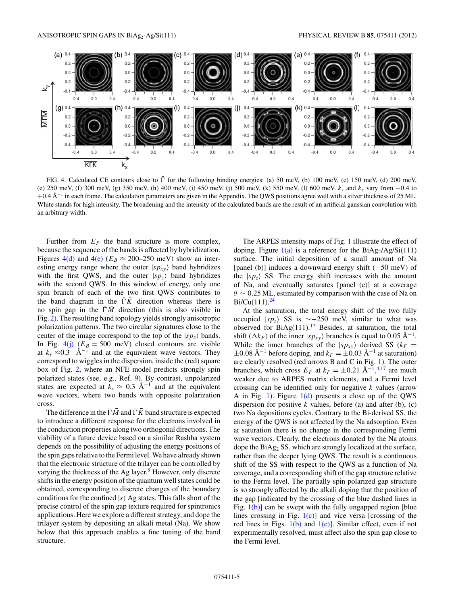<span id="page-4-0"></span>

FIG. 4. Calculated CE contours close to  $\overline{\Gamma}$  for the following binding energies: (a) 50 meV, (b) 100 meV, (c) 150 meV, (d) 200 meV, (e) 250 meV, (f) 300 meV, (g) 350 meV, (h) 400 meV, (i) 450 meV, (j) 500 meV, (k) 550 meV, (l) 600 meV. *kx* and *ky* vary from −0*.*4 to +0.4 Å<sup>-1</sup> in each frame. The calculation parameters are given in the Appendix. The QWS positions agree well with a silver thickness of 25 ML. White stands for high intensity. The broadening and the intensity of the calculated bands are the result of an artificial gaussian convolution with an arbitrary width.

Further from  $E_F$  the band structure is more complex, because the sequence of the bands is affected by hybridization. Figures 4(d) and 4(e) ( $E_B \approx 200-250$  meV) show an interesting energy range where the outer  $|sp_{xy}\rangle$  band hybridizes with the first QWS, and the outer  $|sp_z\rangle$  band hybridizes with the second QWS. In this window of energy, only one spin branch of each of the two first QWS contributes to the band diagram in the  $\bar{\Gamma} \bar{K}$  direction whereas there is no spin gap in the  $\bar{\Gamma} \bar{M}$  direction (this is also visible in Fig. [2\)](#page-2-0). The resulting band topology yields strongly anisotropic polarization patterns. The two circular signatures close to the center of the image correspond to the top of the  $|sp_z\rangle$  bands. In Fig.  $4(i)$  ( $E_B = 500$  meV) closed contours are visible at  $k_y \approx 0.3$  Å<sup>-1</sup> and at the equivalent wave vectors. They correspond to wiggles in the dispersion, inside the (red) square box of Fig. [2,](#page-2-0) where an NFE model predicts strongly spin polarized states (see, e.g., Ref. [9\)](#page-5-0). By contrast, unpolarized states are expected at  $k_x \approx 0.3 \text{ Å}^{-1}$  and at the equivalent wave vectors, where two bands with opposite polarization cross.

The difference in the  $\bar{\Gamma} \bar{M}$  and  $\bar{\Gamma} \bar{K}$  band structure is expected to introduce a different response for the electrons involved in the conduction properties along two orthogonal directions. The viability of a future device based on a similar Rashba system depends on the possibility of adjusting the energy positions of the spin gaps relative to the Fermi level. We have already shown that the electronic structure of the trilayer can be controlled by varying the thickness of the Ag layer. $8$  However, only discrete shifts in the energy position of the quantum well states could be obtained, corresponding to discrete changes of the boundary conditions for the confined  $|s\rangle$  Ag states. This falls short of the precise control of the spin gap texture required for spintronics applications. Here we explore a different strategy, and dope the trilayer system by depositing an alkali metal (Na). We show below that this approach enables a fine tuning of the band structure.

The ARPES intensity maps of Fig. [1](#page-1-0) illustrate the effect of doping. Figure  $1(a)$  is a reference for the BiAg<sub>2</sub>/Ag/Si(111) surface. The initial deposition of a small amount of Na [panel (b)] induces a downward energy shift (−50 meV) of the  $|sp_z\rangle$  SS. The energy shift increases with the amount of Na, and eventually saturates [panel (c)] at a coverage *θ* ∼ 0*.*25 ML, estimated by comparison with the case of Na on Bi/Cu(111). $^{24}$ 

At the saturation, the total energy shift of the two fully occupied  $|sp_z\rangle$  SS is ~−250 meV, similar to what was observed for  $BiAg(111).17$  $BiAg(111).17$  Besides, at saturation, the total shift ( $\Delta k_F$ ) of the inner  $|sp_{xy}\rangle$  branches is equal to 0.05 Å<sup>-1</sup>. While the inner branches of the  $|sp_{xy}\rangle$  derived SS ( $k_F =$  $\pm 0.08$  Å<sup>-1</sup> before doping, and  $k_F = \pm 0.03$  Å<sup>-1</sup> at saturation) are clearly resolved (red arrows B and C in Fig. [1\)](#page-1-0). The outer branches, which cross  $E_F$  at  $k_F = \pm 0.21 \text{ Å}^{-1}$ ,<sup>[4,17](#page-5-0)</sup> are much weaker due to ARPES matrix elements, and a Fermi level crossing can be identified only for negative *k* values (arrow A in Fig. [1\)](#page-1-0). Figure  $1(d)$  presents a close up of the QWS dispersion for positive  $k$  values, before (a) and after (b), (c) two Na depositions cycles. Contrary to the Bi-derived SS, the energy of the QWS is not affected by the Na adsorption. Even at saturation there is no change in the corresponding Fermi wave vectors. Clearly, the electrons donated by the Na atoms dope the BiAg2 SS, which are strongly localized at the surface, rather than the deeper lying QWS. The result is a continuous shift of the SS with respect to the QWS as a function of Na coverage, and a corresponding shift of the gap structure relative to the Fermi level. The partially spin polarized gap structure is so strongly affected by the alkali doping that the position of the gap [indicated by the crossing of the blue dashed lines in Fig.  $1(b)$  can be swept with the fully ungapped region [blue] lines crossing in Fig.  $1(c)$ ] and vice versa [crossing of the red lines in Figs.  $1(b)$  and  $1(c)$ ]. Similar effect, even if not experimentally resolved, must affect also the spin gap close to the Fermi level.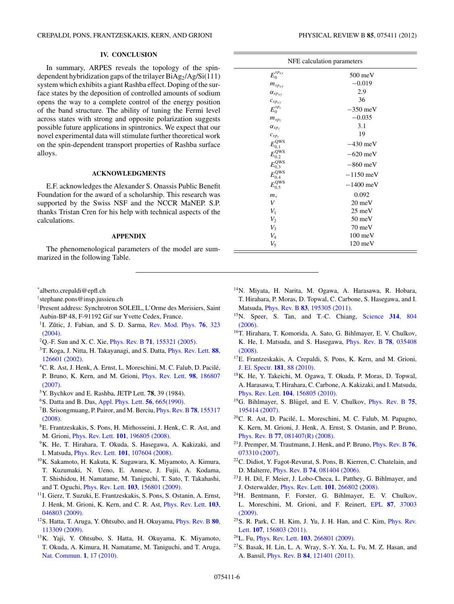# **IV. CONCLUSION**

<span id="page-5-0"></span>In summary, ARPES reveals the topology of the spindependent hybridization gaps of the trilayer  $BiAg_2/Ag/Si(111)$ system which exhibits a giant Rashba effect. Doping of the surface states by the deposition of controlled amounts of sodium opens the way to a complete control of the energy position of the band structure. The ability of tuning the Fermi level across states with strong and opposite polarization suggests possible future applications in spintronics. We expect that our novel experimental data will stimulate further theoretical work on the spin-dependent transport properties of Rashba surface alloys.

### **ACKNOWLEDGMENTS**

E.F. acknowledges the Alexander S. Onassis Public Benefit Foundation for the award of a scholarship. This research was supported by the Swiss NSF and the NCCR MaNEP. S.P. thanks Tristan Cren for his help with technical aspects of the calculations.

### **APPENDIX**

The phenomenological parameters of the model are summarized in the following Table.

\* alberto.crepaldi@epfl.ch

- † stephane.pons@insp.jussieu.ch
- ‡ Present address: Synchrotron SOLEIL, L'Orme des Merisiers, Saint Aubin-BP 48, F-91192 Gif sur Yvette Cedex, France.
- <sup>1</sup>I. Zŭtic, J. Fabian, and S. D. Sarma, [Rev. Mod. Phys.](http://dx.doi.org/10.1103/RevModPhys.76.323) **76**, 323 [\(2004\).](http://dx.doi.org/10.1103/RevModPhys.76.323)
- 2Q.-F. Sun and X. C. Xie, Phys. Rev. B **71**[, 155321 \(2005\).](http://dx.doi.org/10.1103/PhysRevB.71.155321)
- 3T. Koga, J. Nitta, H. Takayanagi, and S. Datta, [Phys. Rev. Lett.](http://dx.doi.org/10.1103/PhysRevLett.88.126601) **88**, [126601 \(2002\).](http://dx.doi.org/10.1103/PhysRevLett.88.126601)
- <sup>4</sup>C. R. Ast, J. Henk, A. Ernst, L. Moreschini, M. C. Falub, D. Pacilé, P. Bruno, K. Kern, and M. Grioni, [Phys. Rev. Lett.](http://dx.doi.org/10.1103/PhysRevLett.98.186807) **98**, 186807 [\(2007\).](http://dx.doi.org/10.1103/PhysRevLett.98.186807)
- 5Y. Bychkov and E. Rashba, JETP Lett. **78**, 39 (1984).
- 6S. Datta and B. Das, [Appl. Phys. Lett.](http://dx.doi.org/10.1063/1.102730) **56**, 665(1990).
- 7B. Srisongmuang, P. Pairor, and M. Berciu, [Phys. Rev. B](http://dx.doi.org/10.1103/PhysRevB.78.155317) **78**, 155317 [\(2008\).](http://dx.doi.org/10.1103/PhysRevB.78.155317)
- 8E. Frantzeskakis, S. Pons, H. Mirhosseini, J. Henk, C. R. Ast, and M. Grioni, Phys. Rev. Lett. **101**[, 196805 \(2008\).](http://dx.doi.org/10.1103/PhysRevLett.101.196805)
- <sup>9</sup>K. He, T. Hirahara, T. Okuda, S. Hasegawa, A. Kakizaki, and I. Matsuda, Phys. Rev. Lett. **101**[, 107604 \(2008\).](http://dx.doi.org/10.1103/PhysRevLett.101.107604)
- 10K. Sakamoto, H. Kakuta, K. Sugawara, K. Miyamoto, A. Kimura, T. Kuzumaki, N. Ueno, E. Annese, J. Fujii, A. Kodama, T. Shishidou, H. Namatame, M. Taniguchi, T. Sato, T. Takahashi, and T. Oguchi, Phys. Rev. Lett. **103**[, 156801 \(2009\).](http://dx.doi.org/10.1103/PhysRevLett.103.156801)
- <sup>11</sup>I. Gierz, T. Suzuki, E. Frantzeskakis, S. Pons, S. Ostanin, A. Ernst, J. Henk, M. Grioni, K. Kern, and C. R. Ast, [Phys. Rev. Lett.](http://dx.doi.org/10.1103/PhysRevLett.103.046803) **103**, [046803 \(2009\).](http://dx.doi.org/10.1103/PhysRevLett.103.046803)
- 12S. Hatta, T. Aruga, Y. Ohtsubo, and H. Okuyama, [Phys. Rev. B](http://dx.doi.org/10.1103/PhysRevB.80.113309) **80**, [113309 \(2009\).](http://dx.doi.org/10.1103/PhysRevB.80.113309)
- 13K. Yaji, Y. Ohtsubo, S. Hatta, H. Okuyama, K. Miyamoto, T. Okuda, A. Kimura, H. Namatame, M. Taniguchi, and T. Aruga, [Nat. Commun.](http://dx.doi.org/10.1038/ncomms1016) **1**, 17 (2010).

| PHYSICAL REVIEW B <b>85</b> , 075411 (2012) |  |  |
|---------------------------------------------|--|--|
|---------------------------------------------|--|--|

| NFE calculation parameters |                   |
|----------------------------|-------------------|
| $E_0^{sp_{xy}}$            | $500$ meV         |
| $m_{sp_{xy}}$              | $-0.019$          |
| $\alpha_{sp_{xy}}$         | 2.9               |
| $c_{spxy}$                 | 36                |
| $E_0^{sp_z}$               | $-350$ meV        |
| $m_{sp_{\rm Z}}$           | $-0.035$          |
| $\alpha_{sp_z}$            | 3.1               |
| $c_{spz}$                  | 19                |
| $E_{0,1}^{\text{QWS}}$     | $-430$ meV        |
| $E_{0,2}^{\textrm{QWS}}$   | $-620$ meV        |
| $E_{0,3}^{\textrm{QWS}}$   | $-860$ meV        |
| $E_{0.4}^{\text{QWS}}$     | $-1150$ meV       |
| $E_{0.5}^{\text{QWS}}$     | $-1400$ meV       |
| $m_{v}$                    | 0.092             |
| V                          | $20 \text{ meV}$  |
| $V_1$                      | $25 \text{ meV}$  |
| $V_2$                      | $50 \text{ meV}$  |
| $V_3$                      | $70 \text{ meV}$  |
| $V_4$                      | $100$ meV         |
| $V_5$                      | $120 \text{ meV}$ |

- 14N. Miyata, H. Narita, M. Ogawa, A. Harasawa, R. Hobara, T. Hirahara, P. Moras, D. Topwal, C. Carbone, S. Hasegawa, and I. Matsuda, Phys. Rev. B **83**[, 195305 \(2011\).](http://dx.doi.org/10.1103/PhysRevB.83.195305)
- 15N. Speer, S. Tan, and T.-C. Chiang, [Science](http://dx.doi.org/10.1126/science.1132941) **314**, 804 [\(2006\).](http://dx.doi.org/10.1126/science.1132941)
- 16T. Hirahara, T. Komorida, A. Sato, G. Bihlmayer, E. V. Chulkov, K. He, I. Matsuda, and S. Hasegawa, [Phys. Rev. B](http://dx.doi.org/10.1103/PhysRevB.78.035408) **78**, 035408 [\(2008\).](http://dx.doi.org/10.1103/PhysRevB.78.035408)
- 17E. Frantzeskakis, A. Crepaldi, S. Pons, K. Kern, and M. Grioni, [J. El. Spectr.](http://dx.doi.org/10.1016/j.elspec.2010.05.018) **181**, 88 (2010).
- 18K. He, Y. Takeichi, M. Ogawa, T. Okuda, P. Moras, D. Topwal, A. Harasawa, T. Hirahara, C. Carbone, A. Kakizaki, and I. Matsuda, Phys. Rev. Lett. **104**[, 156805 \(2010\).](http://dx.doi.org/10.1103/PhysRevLett.104.156805)
- <sup>19</sup>G. Bihlmayer, S. Blügel, and E. V. Chulkov, *[Phys. Rev. B](http://dx.doi.org/10.1103/PhysRevB.75.195414)* 75, [195414 \(2007\).](http://dx.doi.org/10.1103/PhysRevB.75.195414)
- <sup>20</sup>C. R. Ast, D. Pacilé, L. Moreschini, M. C. Falub, M. Papagno, K. Kern, M. Grioni, J. Henk, A. Ernst, S. Ostanin, and P. Bruno, Phys. Rev. B **77**[, 081407\(R\) \(2008\).](http://dx.doi.org/10.1103/PhysRevB.77.081407)
- 21J. Premper, M. Trautmann, J. Henk, and P. Bruno, [Phys. Rev. B](http://dx.doi.org/10.1103/PhysRevB.76.073310) **76**, [073310 \(2007\).](http://dx.doi.org/10.1103/PhysRevB.76.073310)
- 22C. Didiot, Y. Fagot-Revurat, S. Pons, B. Kierren, C. Chatelain, and D. Malterre, Phys. Rev. B **74**[, 081404 \(2006\).](http://dx.doi.org/10.1103/PhysRevB.74.081404)
- 23J. H. Dil, F. Meier, J. Lobo-Checa, L. Patthey, G. Bihlmayer, and J. Osterwalder, Phys. Rev. Lett. **101**[, 266802 \(2008\).](http://dx.doi.org/10.1103/PhysRevLett.101.266802)
- 24H. Bentmann, F. Forster, G. Bihlmayer, E. V. Chulkov, L. Moreschini, M. Grioni, and F. Reinert, EPL **87**[, 37003](http://dx.doi.org/10.1209/0295-5075/87/37003) [\(2009\).](http://dx.doi.org/10.1209/0295-5075/87/37003)
- $25$ S. R. Park, C. H. Kim, J. Yu, J. H. Han, and C. Kim, *[Phys. Rev.](http://dx.doi.org/10.1103/PhysRevLett.107.156803)* Lett. **107**[, 156803 \(2011\).](http://dx.doi.org/10.1103/PhysRevLett.107.156803)
- 26L. Fu, Phys. Rev. Lett. **103**[, 266801 \(2009\).](http://dx.doi.org/10.1103/PhysRevLett.103.266801)
- 27S. Basak, H. Lin, L. A. Wray, S.-Y. Xu, L. Fu, M. Z. Hasan, and A. Bansil, Phys. Rev. B **84**[, 121401 \(2011\).](http://dx.doi.org/10.1103/PhysRevB.84.121401)